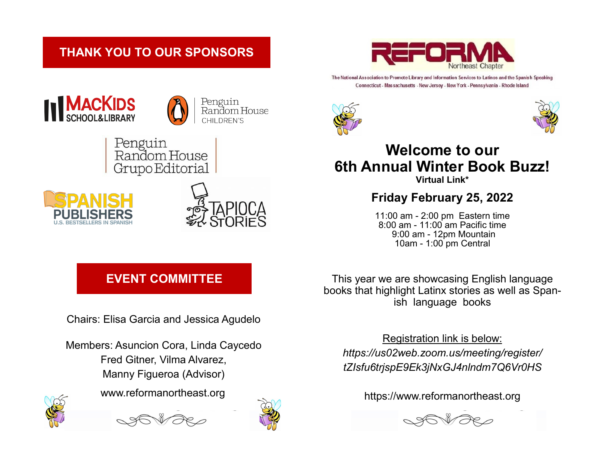## **THANK YOU TO OUR SPONSORS**



The National Association to Promote Library and Information Services to Latinos and the Spanish Speaking Connecticut - Massachusetts - New Jersey - New York - Pennsylvania - Rhode Island





Penguin Random House CHILDREN'S

Penguin<br>Random House Grupo Editorial





# **Virtual Link\* Friday February 25, 2022**

11:00 am - 2:00 pm Eastern time 8:00 am - 11:00 am Pacific time 9:00 am - 12pm Mountain 10am - 1:00 pm Central

# **EVENT COMMITTEE**

Chairs: Elisa Garcia and Jessica Agudelo

Members: Asuncion Cora, Linda Caycedo Fred Gitner, Vilma Alvarez, Manny Figueroa (Advisor) www.reformanortheast.org







This year we are showcasing English language books that highlight Latinx stories as well as Spanish language books

Registration link is below:

*https://us02web.zoom.us/meeting/register/ tZIsfu6trjspE9Ek3jNxGJ4nlndm7Q6Vr0HS* 

https://www.reformanortheast.org